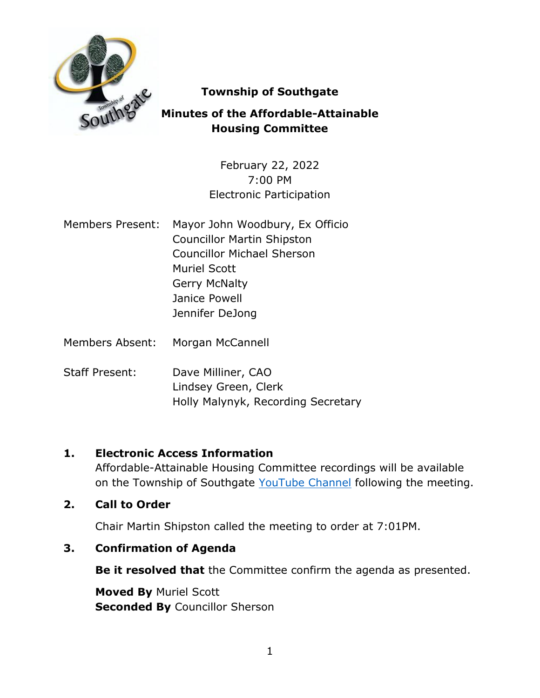

# **Township of Southgate**

# **Minutes of the Affordable-Attainable Housing Committee**

February 22, 2022 7:00 PM Electronic Participation

- Members Present: Mayor John Woodbury, Ex Officio Councillor Martin Shipston Councillor Michael Sherson Muriel Scott Gerry McNalty Janice Powell Jennifer DeJong
- Members Absent: Morgan McCannell
- Staff Present: Dave Milliner, CAO Lindsey Green, Clerk Holly Malynyk, Recording Secretary

#### **1. Electronic Access Information**

Affordable-Attainable Housing Committee recordings will be available on the Township of Southgate [YouTube Channel](https://www.youtube.com/user/SouthgateTownship) following the meeting.

#### **2. Call to Order**

Chair Martin Shipston called the meeting to order at 7:01PM.

#### **3. Confirmation of Agenda**

**Be it resolved that** the Committee confirm the agenda as presented.

**Moved By** Muriel Scott **Seconded By** Councillor Sherson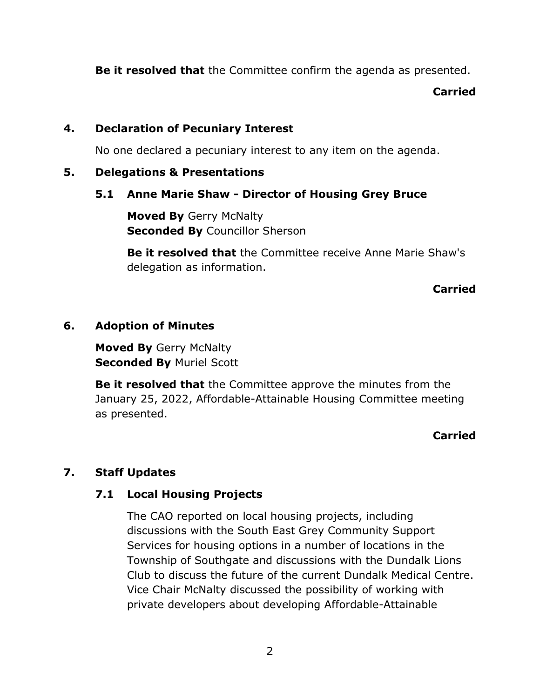**Be it resolved that** the Committee confirm the agenda as presented.

#### **Carried**

# **4. Declaration of Pecuniary Interest**

No one declared a pecuniary interest to any item on the agenda.

# **5. Delegations & Presentations**

### **5.1 Anne Marie Shaw - Director of Housing Grey Bruce**

**Moved By** Gerry McNalty **Seconded By** Councillor Sherson

**Be it resolved that** the Committee receive Anne Marie Shaw's delegation as information.

### **Carried**

### **6. Adoption of Minutes**

**Moved By** Gerry McNalty **Seconded By** Muriel Scott

**Be it resolved that** the Committee approve the minutes from the January 25, 2022, Affordable-Attainable Housing Committee meeting as presented.

# **Carried**

# **7. Staff Updates**

# **7.1 Local Housing Projects**

The CAO reported on local housing projects, including discussions with the South East Grey Community Support Services for housing options in a number of locations in the Township of Southgate and discussions with the Dundalk Lions Club to discuss the future of the current Dundalk Medical Centre. Vice Chair McNalty discussed the possibility of working with private developers about developing Affordable-Attainable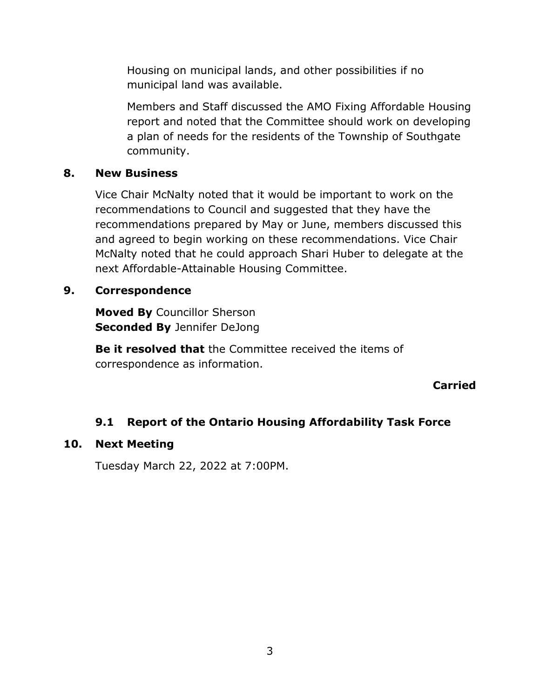Housing on municipal lands, and other possibilities if no municipal land was available.

Members and Staff discussed the AMO Fixing Affordable Housing report and noted that the Committee should work on developing a plan of needs for the residents of the Township of Southgate community.

#### **8. New Business**

Vice Chair McNalty noted that it would be important to work on the recommendations to Council and suggested that they have the recommendations prepared by May or June, members discussed this and agreed to begin working on these recommendations. Vice Chair McNalty noted that he could approach Shari Huber to delegate at the next Affordable-Attainable Housing Committee.

#### **9. Correspondence**

**Moved By** Councillor Sherson **Seconded By** Jennifer DeJong

**Be it resolved that** the Committee received the items of correspondence as information.

**Carried**

#### **9.1 Report of the Ontario Housing Affordability Task Force**

#### **10. Next Meeting**

Tuesday March 22, 2022 at 7:00PM.